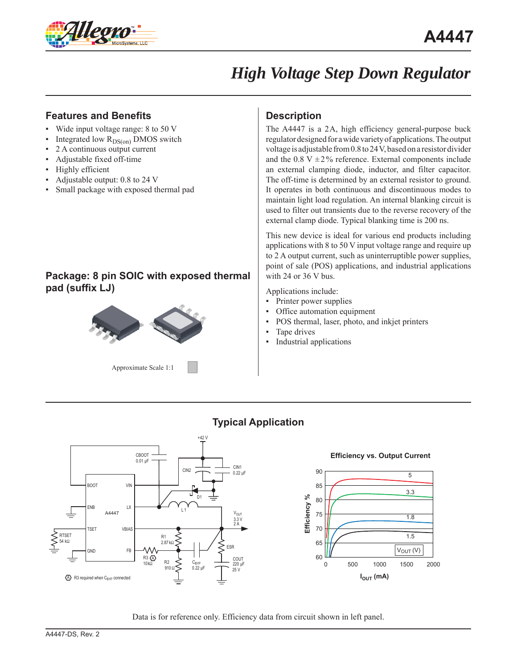

### **Features and Benefits**

- Wide input voltage range:  $8$  to  $50$  V
- Integrated low  $R_{DS(on)}$  DMOS switch
- 2 A continuous output current
- Adjustable fixed off-time
- Highly efficient
- Adjustable output: 0.8 to 24 V
- Small package with exposed thermal pad

### **Package: 8 pin SOIC with exposed thermal pad (suffix LJ)**



Approximate Scale 1:1

## **Description**

The A4447 is a 2A, high efficiency general-purpose buck regulator designed for a wide variety of applications. The output voltage is adjustable from 0.8 to 24 V, based on a resistor divider and the 0.8 V  $\pm$  2% reference. External components include an external clamping diode, inductor, and filter capacitor. The off-time is determined by an external resistor to ground. It operates in both continuous and discontinuous modes to maintain light load regulation. An internal blanking circuit is used to filter out transients due to the reverse recovery of the external clamp diode. Typical blanking time is 200 ns.

This new device is ideal for various end products including applications with 8 to 50 V input voltage range and require up to 2 A output current, such as uninterruptible power supplies, point of sale (POS) applications, and industrial applications with 24 or 36 V bus.

Applications include:

- Printer power supplies
- Office automation equipment
- POS thermal, laser, photo, and inkjet printers
- Tape drives
- Industrial applications



## **Typical Application**



Data is for reference only. Efficiency data from circuit shown in left panel.

25 V

A) R3 required when C<sub>BYP</sub> connected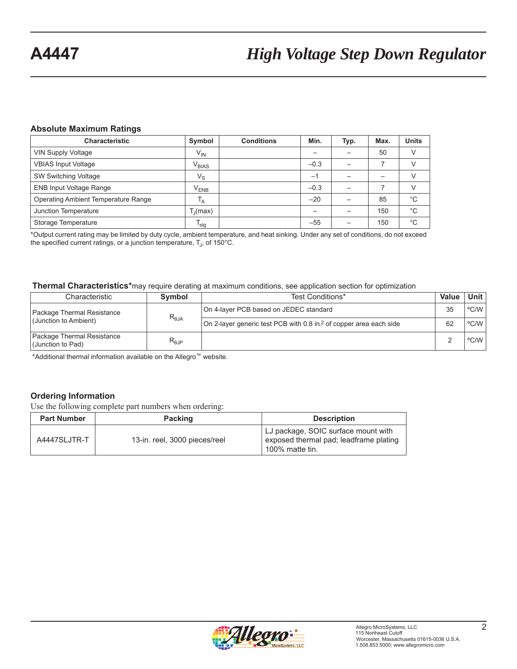### **Absolute Maximum Ratings**

| <b>Characteristic</b>                      | Symbol               | <b>Conditions</b> | Min.                     | Typ. | Max. | <b>Units</b>  |
|--------------------------------------------|----------------------|-------------------|--------------------------|------|------|---------------|
| <b>VIN Supply Voltage</b>                  | $V_{IN}$             |                   |                          |      | 50   |               |
| <b>VBIAS Input Voltage</b>                 | $V_{BIAS}$           |                   | $-0.3$                   |      |      |               |
| SW Switching Voltage                       | $V_{\rm S}$          |                   | $-1$                     |      |      |               |
| <b>ENB Input Voltage Range</b>             | $V_{ENB}$            |                   | $-0.3$                   |      |      | $\mathcal{U}$ |
| <b>Operating Ambient Temperature Range</b> | $T_A$                |                   | $-20$                    |      | 85   | $^{\circ}C$   |
| Junction Temperature                       | T <sub>1</sub> (max) |                   | $\overline{\phantom{0}}$ |      | 150  | $^{\circ}$ C  |
| Storage Temperature                        | $I_{\text{stg}}$     |                   | $-55$                    |      | 150  | $^{\circ}C$   |

\*Output current rating may be limited by duty cycle, ambient temperature, and heat sinking. Under any set of conditions, do not exceed the specified current ratings, or a junction temperature,  $T_{\rm J}$ , of 150°C.

#### **Thermal Characteristics\***may require derating at maximum conditions, see application section for optimization

| Characteristic                                  | Symbol                           | Test Conditions*                                                               | Value | <b>Unit</b> |
|-------------------------------------------------|----------------------------------|--------------------------------------------------------------------------------|-------|-------------|
| Package Thermal Resistance                      | $R_{\theta JA}$                  | On 4-layer PCB based on JEDEC standard                                         | 35    | °C/W        |
| (Junction to Ambient)                           |                                  | On 2-layer generic test PCB with 0.8 in. <sup>2</sup> of copper area each side | 62    | °C/W        |
| Package Thermal Resistance<br>(Junction to Pad) | $\mathsf{R}_{\theta\mathsf{JP}}$ |                                                                                |       | °C/W        |

\*Additional thermal information available on the Allegro™ website.

### **Ordering Information**

Use the following complete part numbers when ordering:

| <b>Part Number</b> | <b>Packing</b>                | <b>Description</b>                                                                               |
|--------------------|-------------------------------|--------------------------------------------------------------------------------------------------|
| A4447SLJTR-T       | 13-in. reel, 3000 pieces/reel | LJ package, SOIC surface mount with<br>exposed thermal pad; leadframe plating<br>100% matte tin. |

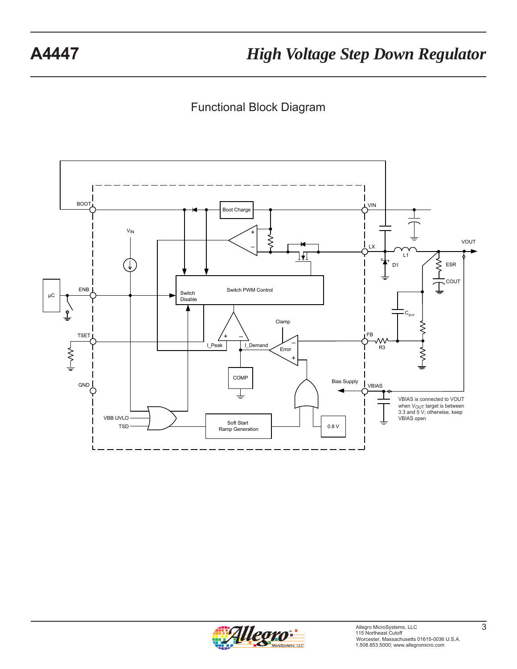Functional Block Diagram



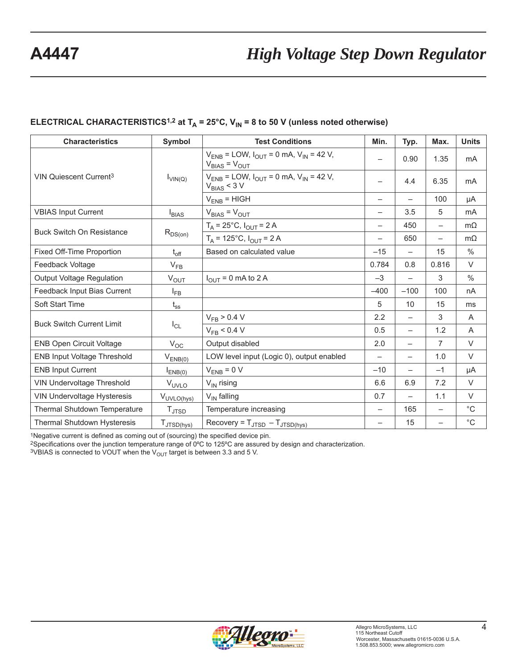## **ELECTRICAL CHARACTERISTICS<sup>1,2</sup> at T<sub>A</sub> = 25°C, V<sub>IN</sub> = 8 to 50 V (unless noted otherwise)**

| <b>Characteristics</b>             | Symbol                 | <b>Test Conditions</b>                                                      |                          | Typ.                     | Max.                     | <b>Units</b>   |
|------------------------------------|------------------------|-----------------------------------------------------------------------------|--------------------------|--------------------------|--------------------------|----------------|
|                                    |                        | $V_{ENB}$ = LOW, $I_{OUT}$ = 0 mA, $V_{IN}$ = 42 V,<br>$V_{BIAS} = V_{OUT}$ |                          | 0.90                     | 1.35                     | m <sub>A</sub> |
| VIN Quiescent Current <sup>3</sup> | $I_{VIN(Q)}$           | $V_{ENB}$ = LOW, $I_{OUT}$ = 0 mA, $V_{IN}$ = 42 V,<br>$V_{BIAS}$ < 3 V     | —                        | 4.4                      | 6.35                     | mA             |
|                                    |                        | $V_{ENB}$ = HIGH                                                            | $\overline{\phantom{0}}$ | $\overline{\phantom{0}}$ | 100                      | μA             |
| <b>VBIAS Input Current</b>         | $I_{BIAS}$             | $V_{BIAS} = V_{OUT}$                                                        | $\overline{\phantom{0}}$ | 3.5                      | 5                        | mA             |
|                                    |                        | $T_A = 25^{\circ}C$ , $I_{OUT} = 2 A$                                       | $\overline{\phantom{0}}$ | 450                      | $\overline{\phantom{0}}$ | $m\Omega$      |
| <b>Buck Switch On Resistance</b>   | $R_{DS(on)}$           | $T_A$ = 125°C, $I_{OUT}$ = 2 A                                              | $\overline{\phantom{0}}$ | 650                      | $\overline{\phantom{0}}$ | $m\Omega$      |
| Fixed Off-Time Proportion          | $t_{off}$              | Based on calculated value                                                   | $-15$                    | $\overline{\phantom{0}}$ | 15                       | $\%$           |
| Feedback Voltage                   | $V_{FB}$               |                                                                             | 0.784                    | 0.8                      | 0.816                    | V              |
| <b>Output Voltage Regulation</b>   | $V_{OUT}$              | $I_{OUT}$ = 0 mA to 2 A                                                     | $-3$                     | $\overline{\phantom{0}}$ | 3                        | $\%$           |
| Feedback Input Bias Current        | $I_{FB}$               |                                                                             | $-400$                   | $-100$                   | 100                      | nA             |
| Soft Start Time                    | $t_{\rm ss}$           |                                                                             | 5                        | 10                       | 15                       | ms             |
|                                    |                        | $V_{FB}$ > 0.4 V                                                            | 2.2                      | $\overline{\phantom{0}}$ | 3                        | A              |
| <b>Buck Switch Current Limit</b>   | $I_{CL}$               | $V_{FB}$ < 0.4 V                                                            | 0.5                      |                          | 1.2                      | A              |
| <b>ENB Open Circuit Voltage</b>    | $V_{OC}$               | Output disabled                                                             | 2.0                      | $\overline{\phantom{0}}$ | 7                        | $\vee$         |
| <b>ENB Input Voltage Threshold</b> | $V_{ENB(0)}$           | LOW level input (Logic 0), output enabled                                   | $\overline{\phantom{0}}$ | $\overline{\phantom{0}}$ | 1.0                      | $\vee$         |
| <b>ENB Input Current</b>           | $I_{ENB(0)}$           | $V_{ENB} = 0 V$                                                             | $-10$                    |                          | $-1$                     | μA             |
| VIN Undervoltage Threshold         | V <sub>UVLO</sub>      | $V_{IN}$ rising                                                             | 6.6                      | 6.9                      | 7.2                      | $\vee$         |
| VIN Undervoltage Hysteresis        | V <sub>UVLO(hys)</sub> | $V_{IN}$ falling                                                            | 0.7                      | $\overline{\phantom{0}}$ | 1.1                      | $\vee$         |
| Thermal Shutdown Temperature       | $T_{\text{JTSD}}$      | Temperature increasing                                                      | $\overline{\phantom{0}}$ | 165                      | $\overline{\phantom{0}}$ | $^{\circ}C$    |
| Thermal Shutdown Hysteresis        | $T_{\text{JTSD(hys)}}$ | $Recovery = T_{JTSD} - T_{JTSD(hys)}$                                       | $\qquad \qquad -$        | 15                       |                          | $^{\circ}$ C   |

1Negative current is defined as coming out of (sourcing) the specified device pin.

2Specifications over the junction temperature range of 0ºC to 125ºC are assured by design and characterization.

 $3VBIAS$  is connected to VOUT when the  $V_{OUT}$  target is between 3.3 and 5 V.

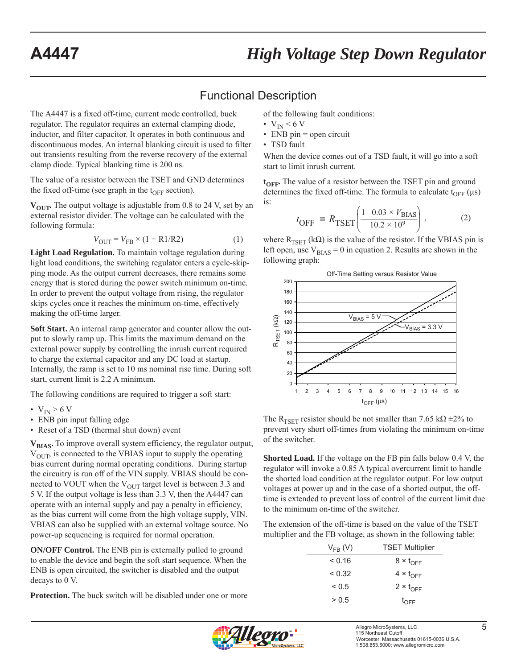# Functional Description

The A4447 is a fixed off-time, current mode controlled, buck regulator. The regulator requires an external clamping diode, inductor, and filter capacitor. It operates in both continuous and discontinuous modes. An internal blanking circuit is used to filter out transients resulting from the reverse recovery of the external clamp diode. Typical blanking time is 200 ns.

The value of a resistor between the TSET and GND determines the fixed off-time (see graph in the  $t_{OFF}$  section).

**V<sub>OUT</sub>**. The output voltage is adjustable from 0.8 to 24 V, set by an external resistor divider. The voltage can be calculated with the following formula:

$$
V_{\text{OUT}} = V_{\text{FB}} \times (1 + \text{R1/R2}) \tag{1}
$$

**Light Load Regulation.** To maintain voltage regulation during light load conditions, the switching regulator enters a cycle-skipping mode. As the output current decreases, there remains some energy that is stored during the power switch minimum on-time. In order to prevent the output voltage from rising, the regulator skips cycles once it reaches the minimum on-time, effectively making the off-time larger.

**Soft Start.** An internal ramp generator and counter allow the output to slowly ramp up. This limits the maximum demand on the external power supply by controlling the inrush current required to charge the external capacitor and any DC load at startup. Internally, the ramp is set to 10 ms nominal rise time. During soft start, current limit is 2.2 A minimum.

The following conditions are required to trigger a soft start:

- $V_{IN} > 6 V$
- ENB pin input falling edge
- Reset of a TSD (thermal shut down) event

V<sub>BIAS</sub>. To improve overall system efficiency, the regulator output,  $V<sub>OUT</sub>$ , is connected to the VBIAS input to supply the operating bias current during normal operating conditions. During startup the circuitry is run off of the VIN supply. VBIAS should be connected to VOUT when the  $V_{\text{OUT}}$  target level is between 3.3 and 5 V. If the output voltage is less than 3.3 V, then the A4447 can operate with an internal supply and pay a penalty in efficiency, as the bias current will come from the high voltage supply, VIN. VBIAS can also be supplied with an external voltage source. No power-up sequencing is required for normal operation.

**ON/OFF Control.** The ENB pin is externally pulled to ground to enable the device and begin the soft start sequence. When the ENB is open circuited, the switcher is disabled and the output decays to 0 V.

**Protection.** The buck switch will be disabled under one or more

of the following fault conditions:

- $V_{IN}$  < 6 V
- $\cdot$  ENB pin = open circuit
- TSD fault

When the device comes out of a TSD fault, it will go into a soft start to limit inrush current.

**t<sub>OFF</sub>**. The value of a resistor between the TSET pin and ground determines the fixed off-time. The formula to calculate  $t_{\text{OFF}}$  ( $\mu$ s) is:

$$
t_{\text{OFF}} = R_{\text{TSET}} \left( \frac{1 - 0.03 \times V_{\text{BIAS}}}{10.2 \times 10^9} \right), \tag{2}
$$

where  $R_{TSET}$  (k $\Omega$ ) is the value of the resistor. If the VBIAS pin is left open, use  $V_{BIAS} = 0$  in equation 2. Results are shown in the following graph:



The R<sub>TSET</sub> resistor should be not smaller than 7.65 kΩ  $\pm$ 2% to prevent very short off-times from violating the minimum on-time of the switcher.

**Shorted Load.** If the voltage on the FB pin falls below 0.4 V, the regulator will invoke a 0.85 A typical overcurrent limit to handle the shorted load condition at the regulator output. For low output voltages at power up and in the case of a shorted output, the offtime is extended to prevent loss of control of the current limit due to the minimum on-time of the switcher.

The extension of the off-time is based on the value of the TSET multiplier and the FB voltage, as shown in the following table:

| $V_{FR}$ (V) | <b>TSET Multiplier</b> |
|--------------|------------------------|
| < 0.16       | $8 \times t_{OFF}$     |
| < 0.32       | $4 \times t_{OFF}$     |
| ${}_{0.5}$   | $2 \times t_{OFF}$     |
| > 0.5        | $t_{\text{OFF}}$       |

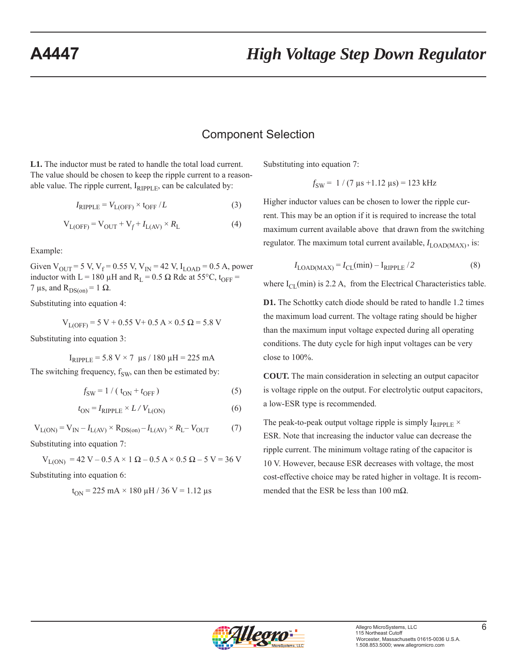## Component Selection

**L1.** The inductor must be rated to handle the total load current. The value should be chosen to keep the ripple current to a reasonable value. The ripple current,  $I_{RIPPI,E}$ , can be calculated by:

$$
I_{\text{RIPPLE}} = V_{\text{L(OFF)}} \times t_{\text{OFF}} / L \tag{3}
$$

$$
V_{L(OFF)} = V_{OUT} + V_f + I_{L(AV)} \times R_L \tag{4}
$$

Example:

Given  $V_{\text{OUT}}$  = 5 V, V<sub>f</sub> = 0.55 V, V<sub>IN</sub> = 42 V, I<sub>LOAD</sub> = 0.5 A, power inductor with L = 180  $\mu$ H and R<sub>L</sub> = 0.5  $\Omega$  Rdc at 55°C, t<sub>OFF</sub> = 7 μs, and  $R_{DS(0n)} = 1 \Omega$ .

Substituting into equation 4:

$$
V_{L(OFF)} = 5 V + 0.55 V + 0.5 A \times 0.5 \Omega = 5.8 V
$$

Substituting into equation 3:

$$
I_{RIPPLE} = 5.8 \text{ V} \times 7 \text{ }\mu\text{s} / 180 \text{ }\mu\text{H} = 225 \text{ mA}
$$

The switching frequency,  $f_{SW}$  can then be estimated by:

$$
f_{SW} = 1 / (t_{ON} + t_{OFF})
$$
 (5)

$$
t_{\rm ON} = I_{\rm RIPPLE} \times L / V_{\rm L(ON)} \tag{6}
$$

$$
V_{L(ON)} = V_{IN} - I_{L(AV)} \times R_{DS(on)} - I_{L(AV)} \times R_{L} - V_{OUT}
$$
 (7)

Substituting into equation 7:

$$
V_{L(ON)} = 42 V - 0.5 A \times 1 \Omega - 0.5 A \times 0.5 \Omega - 5 V = 36 V
$$
  
Substituting into equation 6:

$$
t_{ON} = 225\;mA \times 180\;\mu H \,/\,36\;V = 1.12\;\mu s
$$

Substituting into equation 7:

$$
f_{SW} = 1 / (7 \,\mu s + 1.12 \,\mu s) = 123 \,\text{kHz}
$$

Higher inductor values can be chosen to lower the ripple current. This may be an option if it is required to increase the total maximum current available above that drawn from the switching regulator. The maximum total current available,  $I_{\text{LOAD}(MAX)}$ , is:

$$
I_{\text{LOAD(MAX)}} = I_{\text{CL}}(\text{min}) - I_{\text{RIPPLE}}/2 \tag{8}
$$

where  $I_{\text{CL}}(min)$  is 2.2 A, from the Electrical Characteristics table.

**D1.** The Schottky catch diode should be rated to handle 1.2 times the maximum load current. The voltage rating should be higher than the maximum input voltage expected during all operating conditions. The duty cycle for high input voltages can be very close to 100%.

**COUT.** The main consideration in selecting an output capacitor is voltage ripple on the output. For electrolytic output capacitors, a low-ESR type is recommended.

The peak-to-peak output voltage ripple is simply  $I_{RIPPLE}$   $\times$ ESR. Note that increasing the inductor value can decrease the ripple current. The minimum voltage rating of the capacitor is 10 V. However, because ESR decreases with voltage, the most cost-effective choice may be rated higher in voltage. It is recommended that the ESR be less than 100 m $\Omega$ .

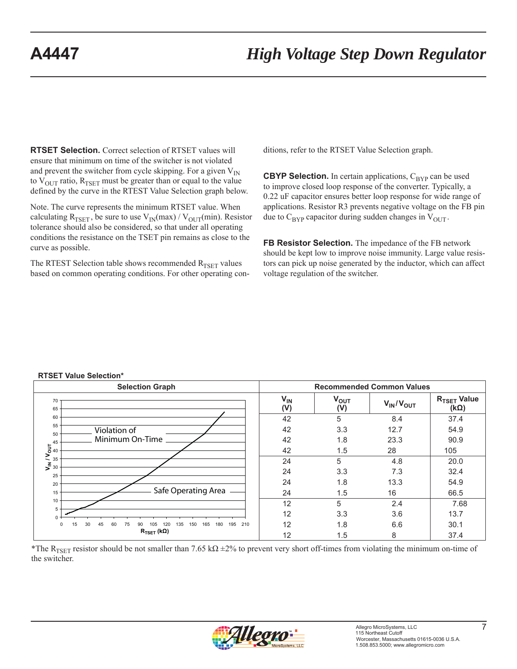**RTSET Selection.** Correct selection of RTSET values will ensure that minimum on time of the switcher is not violated and prevent the switcher from cycle skipping. For a given  $V_{IN}$ to  $V_{\text{OUT}}$  ratio,  $R_{\text{TSET}}$  must be greater than or equal to the value defined by the curve in the RTEST Value Selection graph below.

Note. The curve represents the minimum RTSET value. When calculating  $R_{TSET}$ , be sure to use  $V_{IN}(max) / V_{OUT}(min)$ . Resistor tolerance should also be considered, so that under all operating conditions the resistance on the TSET pin remains as close to the curve as possible.

The RTEST Selection table shows recommended  $R_{TSET}$  values based on common operating conditions. For other operating conditions, refer to the RTSET Value Selection graph.

**CBYP Selection.** In certain applications,  $C_{\text{BYP}}$  can be used to improve closed loop response of the converter. Typically, a 0.22 uF capacitor ensures better loop response for wide range of applications. Resistor R3 prevents negative voltage on the FB pin due to  $C_{\text{BYP}}$  capacitor during sudden changes in  $V_{\text{OUT}}$ .

**FB Resistor Selection.** The impedance of the FB network should be kept low to improve noise immunity. Large value resistors can pick up noise generated by the inductor, which can affect voltage regulation of the switcher.

#### **RTSET Value Selection\***

| <b>Selection Graph</b>                                                                        |                 |                  | <b>Recommended Common Values</b> |                                        |
|-----------------------------------------------------------------------------------------------|-----------------|------------------|----------------------------------|----------------------------------------|
| 70<br>65                                                                                      | $V_{IN}$<br>(V) | $V_{OUT}$<br>(V) | $V_{IN}/V_{OUT}$                 | R <sub>TSET</sub> Value<br>$(k\Omega)$ |
| 60                                                                                            | 42              | 5                | 8.4                              | 37.4                                   |
| 55<br>Violation of<br>50                                                                      | 42              | 3.3              | 12.7                             | 54.9                                   |
| Minimum On-Time<br>45                                                                         | 42              | 1.8              | 23.3                             | 90.9                                   |
| $V_{\text{N}}$ / $V_{\text{OUT}}$ <sup>45</sup><br>$\frac{45}{30}$                            | 42              | 1.5              | 28                               | 105                                    |
|                                                                                               | 24              | 5                | 4.8                              | 20.0                                   |
| 25                                                                                            | 24              | 3.3              | 7.3                              | 32.4                                   |
| 20                                                                                            | 24              | 1.8              | 13.3                             | 54.9                                   |
| Safe Operating Area<br>15                                                                     | 24              | 1.5              | 16                               | 66.5                                   |
| 10                                                                                            | 12              | 5                | 2.4                              | 7.68                                   |
| 5<br>$0 \cdot$                                                                                | 12              | 3.3              | 3.6                              | 13.7                                   |
| 30<br>15<br>165<br>180<br>195<br>210<br>45<br>60<br>150<br>0<br>75<br>135<br>120<br>90<br>105 | 12              | 1.8              | 6.6                              | 30.1                                   |
| $R_{\mathsf{TSET}}$ (kΩ)                                                                      | 12              | 1.5              | 8                                | 37.4                                   |

\*The R<sub>TSET</sub> resistor should be not smaller than 7.65 kΩ  $\pm$ 2% to prevent very short off-times from violating the minimum on-time of the switcher.

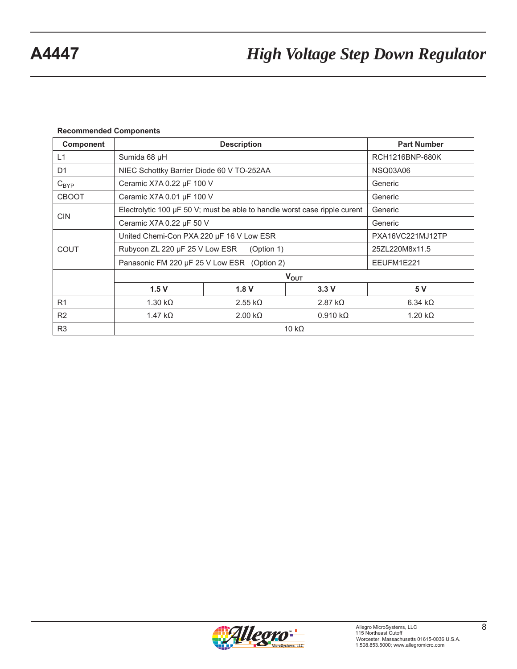### **Recommended Components**

| <b>Component</b> |                                                                                | <b>Part Number</b> |                        |                 |  |
|------------------|--------------------------------------------------------------------------------|--------------------|------------------------|-----------------|--|
| L1               | Sumida 68 µH                                                                   |                    |                        | RCH1216BNP-680K |  |
| D <sub>1</sub>   | NIEC Schottky Barrier Diode 60 V TO-252AA                                      |                    |                        | NSQ03A06        |  |
| $C_{BYP}$        | Ceramic X7A 0.22 µF 100 V                                                      |                    |                        | Generic         |  |
| <b>CBOOT</b>     | Ceramic X7A 0.01 µF 100 V                                                      |                    |                        | Generic         |  |
|                  | Electrolytic 100 $\mu$ F 50 V; must be able to handle worst case ripple curent |                    |                        | Generic         |  |
| <b>CIN</b>       | Ceramic X7A 0.22 µF 50 V<br>Generic                                            |                    |                        |                 |  |
|                  | United Chemi-Con PXA 220 µF 16 V Low ESR<br>PXA16VC221MJ12TP                   |                    |                        |                 |  |
| <b>COUT</b>      | Rubycon ZL 220 µF 25 V Low ESR<br>(Option 1)                                   |                    |                        | 25ZL220M8x11.5  |  |
|                  | Panasonic FM 220 µF 25 V Low ESR (Option 2)<br>EEUFM1E221                      |                    |                        |                 |  |
|                  | $V_{OUT}$                                                                      |                    |                        |                 |  |
|                  | 1.5V                                                                           | 1.8V               | 3.3V                   | 5 V             |  |
| R <sub>1</sub>   | $1.30 k\Omega$                                                                 | $2.55 k\Omega$     | 2.87 $k\Omega$         | $6.34 k\Omega$  |  |
| R <sub>2</sub>   | 1.47 $k\Omega$<br>$2.00 k\Omega$<br>$0.910 k\Omega$                            |                    | $1.20 \text{ k}\Omega$ |                 |  |
| R <sub>3</sub>   | 10 k $\Omega$                                                                  |                    |                        |                 |  |

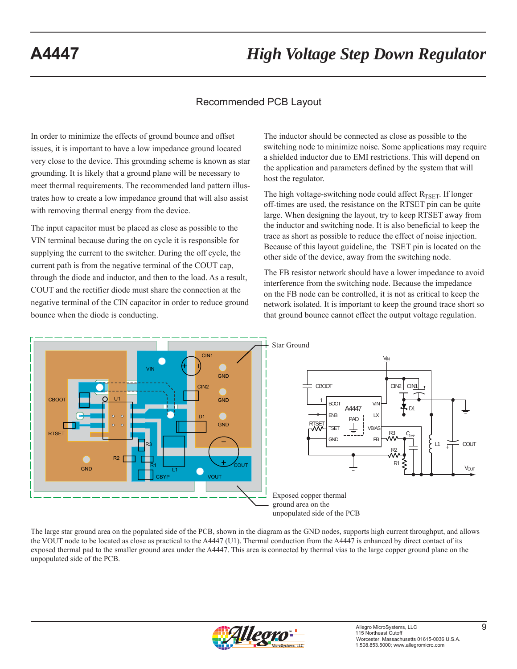## Recommended PCB Layout

In order to minimize the effects of ground bounce and offset issues, it is important to have a low impedance ground located very close to the device. This grounding scheme is known as star grounding. It is likely that a ground plane will be necessary to meet thermal requirements. The recommended land pattern illustrates how to create a low impedance ground that will also assist with removing thermal energy from the device.

The input capacitor must be placed as close as possible to the VIN terminal because during the on cycle it is responsible for supplying the current to the switcher. During the off cycle, the current path is from the negative terminal of the COUT cap, through the diode and inductor, and then to the load. As a result, COUT and the rectifier diode must share the connection at the negative terminal of the CIN capacitor in order to reduce ground bounce when the diode is conducting.

The inductor should be connected as close as possible to the switching node to minimize noise. Some applications may require a shielded inductor due to EMI restrictions. This will depend on the application and parameters defined by the system that will host the regulator.

The high voltage-switching node could affect  $R_{TSET}$ . If longer off-times are used, the resistance on the RTSET pin can be quite large. When designing the layout, try to keep RTSET away from the inductor and switching node. It is also beneficial to keep the trace as short as possible to reduce the effect of noise injection. Because of this layout guideline, the TSET pin is located on the other side of the device, away from the switching node.

The FB resistor network should have a lower impedance to avoid interference from the switching node. Because the impedance on the FB node can be controlled, it is not as critical to keep the network isolated. It is important to keep the ground trace short so that ground bounce cannot effect the output voltage regulation.



The large star ground area on the populated side of the PCB, shown in the diagram as the GND nodes, supports high current throughput, and allows the VOUT node to be located as close as practical to the A4447 (U1). Thermal conduction from the A4447 is enhanced by direct contact of its exposed thermal pad to the smaller ground area under the A4447. This area is connected by thermal vias to the large copper ground plane on the unpopulated side of the PCB.

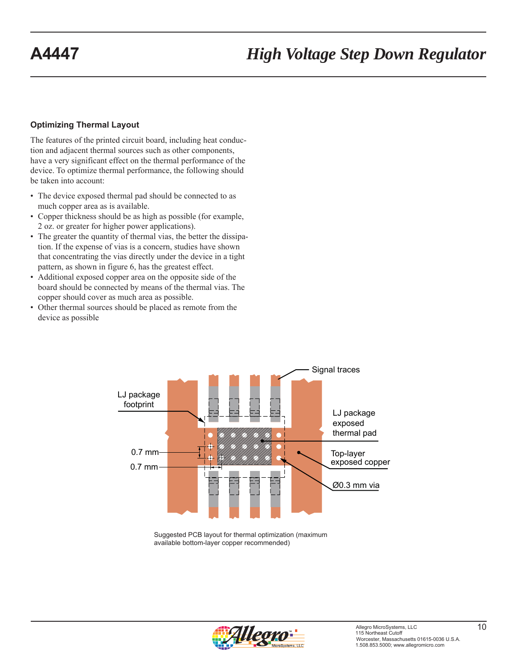### **Optimizing Thermal Layout**

The features of the printed circuit board, including heat conduction and adjacent thermal sources such as other components, have a very significant effect on the thermal performance of the device. To optimize thermal performance, the following should be taken into account:

- The device exposed thermal pad should be connected to as much copper area as is available.
- Copper thickness should be as high as possible (for example, 2 oz. or greater for higher power applications).
- The greater the quantity of thermal vias, the better the dissipation. If the expense of vias is a concern, studies have shown that concentrating the vias directly under the device in a tight pattern, as shown in figure 6, has the greatest effect.
- Additional exposed copper area on the opposite side of the board should be connected by means of the thermal vias. The copper should cover as much area as possible.
- Other thermal sources should be placed as remote from the device as possible



Suggested PCB layout for thermal optimization (maximum available bottom-layer copper recommended)

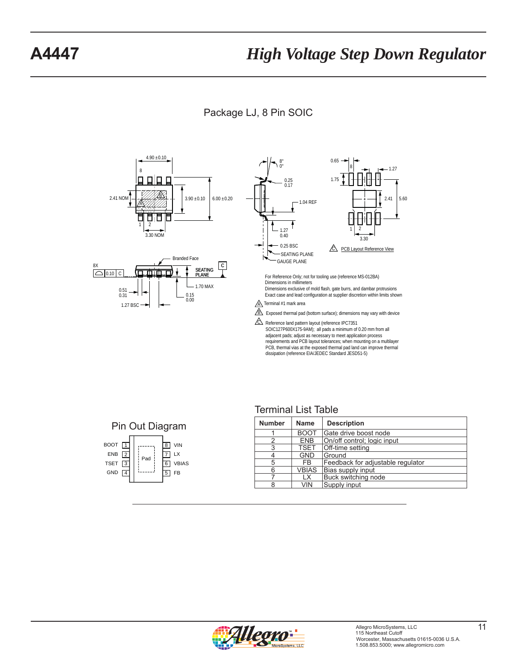Package LJ, 8 Pin SOIC



# Terminal List Table



| <b>Number</b> | <b>Name</b>  | <b>Description</b>                |
|---------------|--------------|-----------------------------------|
|               | <b>BOOT</b>  | Gate drive boost node             |
| 2             | <b>ENB</b>   | On/off control; logic input       |
| 3             | <b>TSET</b>  | Off-time setting                  |
| 4             | <b>GND</b>   | Ground                            |
| 5             | FB.          | Feedback for adjustable regulator |
| 6             | <b>VBIAS</b> | Bias supply input                 |
|               | LX           | Buck switching node               |
| ጸ             | VIN          | Supply input                      |